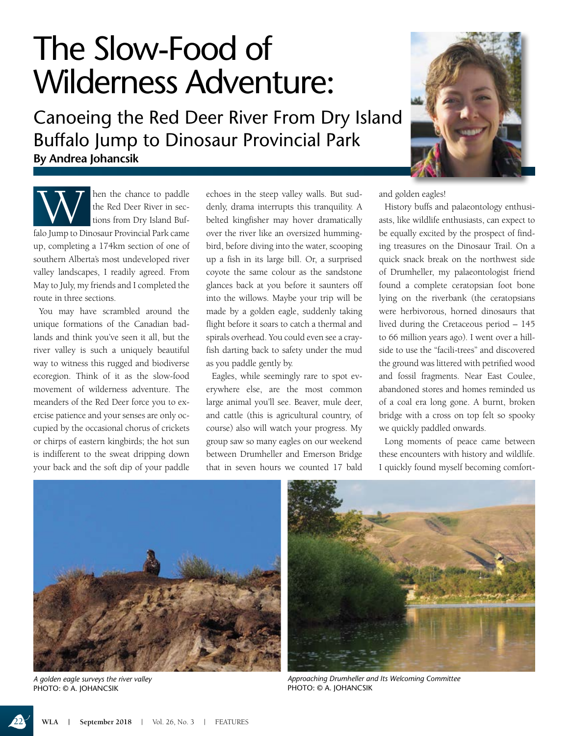## The Slow-Food of Wilderness Adventure:

**By Andrea Johancsik** Canoeing the Red Deer River From Dry Island Buffalo Jump to Dinosaur Provincial Park



Mullet the chance to paddle<br>the Red Deer River in sec-<br>tions from Dry Island Bufthe Red Deer River in sections from Dry Island Buffalo Jump to Dinosaur Provincial Park came up, completing a 174km section of one of southern Alberta's most undeveloped river valley landscapes, I readily agreed. From May to July, my friends and I completed the route in three sections.

You may have scrambled around the unique formations of the Canadian badlands and think you've seen it all, but the river valley is such a uniquely beautiful way to witness this rugged and biodiverse ecoregion. Think of it as the slow-food movement of wilderness adventure. The meanders of the Red Deer force you to exercise patience and your senses are only occupied by the occasional chorus of crickets or chirps of eastern kingbirds; the hot sun is indifferent to the sweat dripping down your back and the soft dip of your paddle

echoes in the steep valley walls. But suddenly, drama interrupts this tranquility. A belted kingfisher may hover dramatically over the river like an oversized hummingbird, before diving into the water, scooping up a fish in its large bill. Or, a surprised coyote the same colour as the sandstone glances back at you before it saunters off into the willows. Maybe your trip will be made by a golden eagle, suddenly taking flight before it soars to catch a thermal and spirals overhead. You could even see a crayfish darting back to safety under the mud as you paddle gently by.

Eagles, while seemingly rare to spot everywhere else, are the most common large animal you'll see. Beaver, mule deer, and cattle (this is agricultural country, of course) also will watch your progress. My group saw so many eagles on our weekend between Drumheller and Emerson Bridge that in seven hours we counted 17 bald

and golden eagles!

History buffs and palaeontology enthusiasts, like wildlife enthusiasts, can expect to be equally excited by the prospect of finding treasures on the Dinosaur Trail. On a quick snack break on the northwest side of Drumheller, my palaeontologist friend found a complete ceratopsian foot bone lying on the riverbank (the ceratopsians were herbivorous, horned dinosaurs that lived during the Cretaceous period – 145 to 66 million years ago). I went over a hillside to use the "facili-trees" and discovered the ground was littered with petrified wood and fossil fragments. Near East Coulee, abandoned stores and homes reminded us of a coal era long gone. A burnt, broken bridge with a cross on top felt so spooky we quickly paddled onwards.

Long moments of peace came between these encounters with history and wildlife. I quickly found myself becoming comfort-



*A golden eagle surveys the river valley*  PHOTO: © A. JOHANCSIK



*Approaching Drumheller and Its Welcoming Committee*  PHOTO: © A. JOHANCSIK